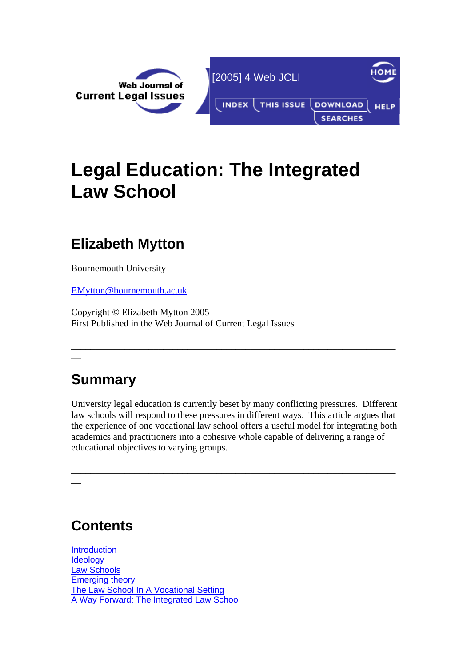

# **Legal Education: The Integrated Law School**

## **Elizabeth Mytton**

Bournemouth University

[EMytton@bournemouth.ac.uk](mailto:EMytton@bournemouth.ac.uk)

Copyright © Elizabeth Mytton 2005 First Published in the Web Journal of Current Legal Issues

# **Summary**

 $\overline{\phantom{a}}$ 

 $\overline{\phantom{a}}$ 

University legal education is currently beset by many conflicting pressures. Different law schools will respond to these pressures in different ways. This article argues that the experience of one vocational law school offers a useful model for integrating both academics and practitioners into a cohesive whole capable of delivering a range of educational objectives to varying groups.

\_\_\_\_\_\_\_\_\_\_\_\_\_\_\_\_\_\_\_\_\_\_\_\_\_\_\_\_\_\_\_\_\_\_\_\_\_\_\_\_\_\_\_\_\_\_\_\_\_\_\_\_\_\_\_\_\_\_\_\_\_\_\_\_\_\_\_

\_\_\_\_\_\_\_\_\_\_\_\_\_\_\_\_\_\_\_\_\_\_\_\_\_\_\_\_\_\_\_\_\_\_\_\_\_\_\_\_\_\_\_\_\_\_\_\_\_\_\_\_\_\_\_\_\_\_\_\_\_\_\_\_\_\_\_

# **Contents**

**Introduction Ideology** Law Schools Emerging theory The Law School In A Vocational Setting A Way Forward: The Integrated Law School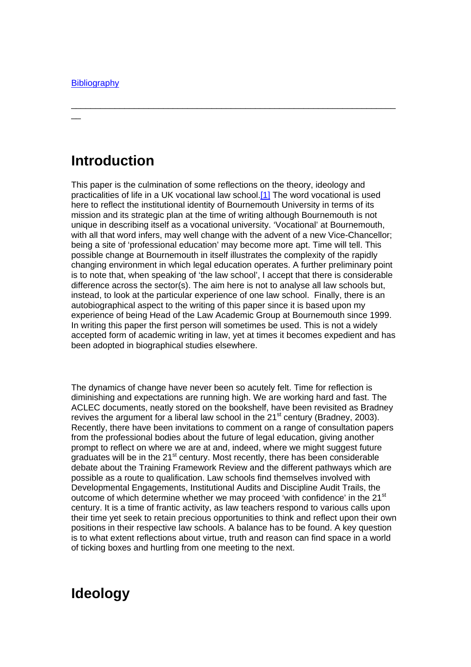$\overline{\phantom{a}}$ 

### **Introduction**

This paper is the culmination of some reflections on the theory, ideology and practicalities of life in a UK vocational law school[.\[1\]](http://webjcli.ncl.ac.uk/2005/issue4/mytton4.html#_ftn1#_ftn1) The word vocational is used here to reflect the institutional identity of Bournemouth University in terms of its mission and its strategic plan at the time of writing although Bournemouth is not unique in describing itself as a vocational university. 'Vocational' at Bournemouth, with all that word infers, may well change with the advent of a new Vice-Chancellor; being a site of 'professional education' may become more apt. Time will tell. This possible change at Bournemouth in itself illustrates the complexity of the rapidly changing environment in which legal education operates. A further preliminary point is to note that, when speaking of 'the law school', I accept that there is considerable difference across the sector(s). The aim here is not to analyse all law schools but, instead, to look at the particular experience of one law school. Finally, there is an autobiographical aspect to the writing of this paper since it is based upon my experience of being Head of the Law Academic Group at Bournemouth since 1999. In writing this paper the first person will sometimes be used. This is not a widely accepted form of academic writing in law, yet at times it becomes expedient and has been adopted in biographical studies elsewhere.

\_\_\_\_\_\_\_\_\_\_\_\_\_\_\_\_\_\_\_\_\_\_\_\_\_\_\_\_\_\_\_\_\_\_\_\_\_\_\_\_\_\_\_\_\_\_\_\_\_\_\_\_\_\_\_\_\_\_\_\_\_\_\_\_\_\_\_

The dynamics of change have never been so acutely felt. Time for reflection is diminishing and expectations are running high. We are working hard and fast. The ACLEC documents, neatly stored on the bookshelf, have been revisited as Bradney revives the argument for a liberal law school in the  $21<sup>st</sup>$  century (Bradney, 2003). Recently, there have been invitations to comment on a range of consultation papers from the professional bodies about the future of legal education, giving another prompt to reflect on where we are at and, indeed, where we might suggest future graduates will be in the 21st century. Most recently, there has been considerable debate about the Training Framework Review and the different pathways which are possible as a route to qualification. Law schools find themselves involved with Developmental Engagements, Institutional Audits and Discipline Audit Trails, the outcome of which determine whether we may proceed 'with confidence' in the 21<sup>st</sup> century. It is a time of frantic activity, as law teachers respond to various calls upon their time yet seek to retain precious opportunities to think and reflect upon their own positions in their respective law schools. A balance has to be found. A key question is to what extent reflections about virtue, truth and reason can find space in a world of ticking boxes and hurtling from one meeting to the next.

#### **Ideology**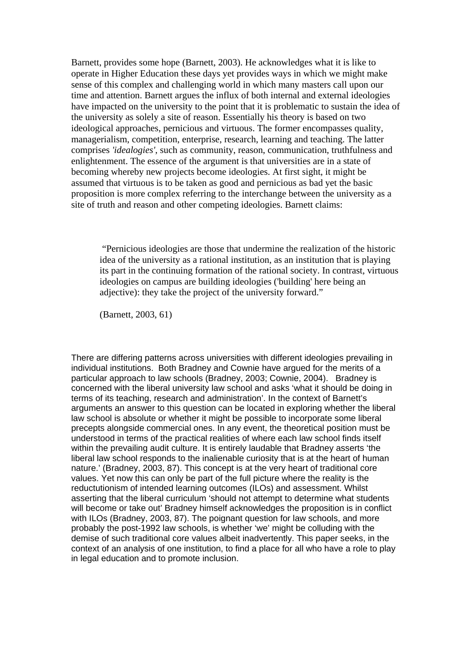Barnett, provides some hope (Barnett, 2003). He acknowledges what it is like to operate in Higher Education these days yet provides ways in which we might make sense of this complex and challenging world in which many masters call upon our time and attention. Barnett argues the influx of both internal and external ideologies have impacted on the university to the point that it is problematic to sustain the idea of the university as solely a site of reason. Essentially his theory is based on two ideological approaches, pernicious and virtuous. The former encompasses quality, managerialism, competition, enterprise, research, learning and teaching. The latter comprises *'idealogies'*, such as community, reason, communication, truthfulness and enlightenment. The essence of the argument is that universities are in a state of becoming whereby new projects become ideologies. At first sight, it might be assumed that virtuous is to be taken as good and pernicious as bad yet the basic proposition is more complex referring to the interchange between the university as a site of truth and reason and other competing ideologies. Barnett claims:

 "Pernicious ideologies are those that undermine the realization of the historic idea of the university as a rational institution, as an institution that is playing its part in the continuing formation of the rational society. In contrast, virtuous ideologies on campus are building ideologies ('building' here being an adjective): they take the project of the university forward."

(Barnett, 2003, 61)

There are differing patterns across universities with different ideologies prevailing in individual institutions. Both Bradney and Cownie have argued for the merits of a particular approach to law schools (Bradney, 2003; Cownie, 2004). Bradney is concerned with the liberal university law school and asks 'what it should be doing in terms of its teaching, research and administration'. In the context of Barnett's arguments an answer to this question can be located in exploring whether the liberal law school is absolute or whether it might be possible to incorporate some liberal precepts alongside commercial ones. In any event, the theoretical position must be understood in terms of the practical realities of where each law school finds itself within the prevailing audit culture. It is entirely laudable that Bradney asserts 'the liberal law school responds to the inalienable curiosity that is at the heart of human nature.' (Bradney, 2003, 87). This concept is at the very heart of traditional core values. Yet now this can only be part of the full picture where the reality is the reductutionism of intended learning outcomes (ILOs) and assessment. Whilst asserting that the liberal curriculum 'should not attempt to determine what students will become or take out' Bradney himself acknowledges the proposition is in conflict with ILOs (Bradney, 2003, 87). The poignant question for law schools, and more probably the post-1992 law schools, is whether 'we' might be colluding with the demise of such traditional core values albeit inadvertently. This paper seeks, in the context of an analysis of one institution, to find a place for all who have a role to play in legal education and to promote inclusion.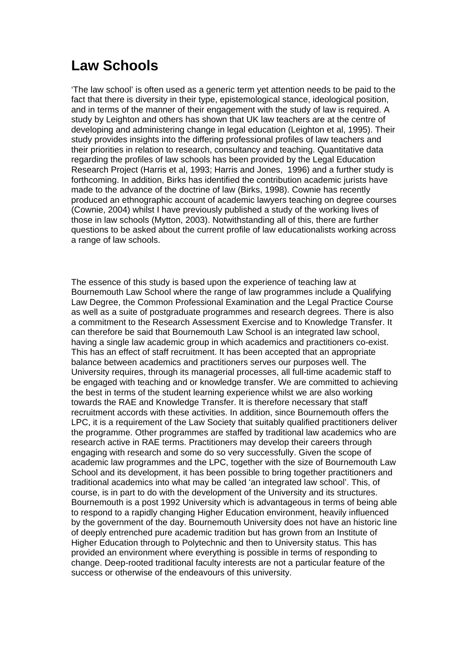## **Law Schools**

'The law school' is often used as a generic term yet attention needs to be paid to the fact that there is diversity in their type, epistemological stance, ideological position, and in terms of the manner of their engagement with the study of law is required. A study by Leighton and others has shown that UK law teachers are at the centre of developing and administering change in legal education (Leighton et al, 1995). Their study provides insights into the differing professional profiles of law teachers and their priorities in relation to research, consultancy and teaching. Quantitative data regarding the profiles of law schools has been provided by the Legal Education Research Project (Harris et al, 1993; Harris and Jones, 1996) and a further study is forthcoming. In addition, Birks has identified the contribution academic jurists have made to the advance of the doctrine of law (Birks, 1998). Cownie has recently produced an ethnographic account of academic lawyers teaching on degree courses (Cownie, 2004) whilst I have previously published a study of the working lives of those in law schools (Mytton, 2003). Notwithstanding all of this, there are further questions to be asked about the current profile of law educationalists working across a range of law schools.

The essence of this study is based upon the experience of teaching law at Bournemouth Law School where the range of law programmes include a Qualifying Law Degree, the Common Professional Examination and the Legal Practice Course as well as a suite of postgraduate programmes and research degrees. There is also a commitment to the Research Assessment Exercise and to Knowledge Transfer. It can therefore be said that Bournemouth Law School is an integrated law school, having a single law academic group in which academics and practitioners co-exist. This has an effect of staff recruitment. It has been accepted that an appropriate balance between academics and practitioners serves our purposes well. The University requires, through its managerial processes, all full-time academic staff to be engaged with teaching and or knowledge transfer. We are committed to achieving the best in terms of the student learning experience whilst we are also working towards the RAE and Knowledge Transfer. It is therefore necessary that staff recruitment accords with these activities. In addition, since Bournemouth offers the LPC, it is a requirement of the Law Society that suitably qualified practitioners deliver the programme. Other programmes are staffed by traditional law academics who are research active in RAE terms. Practitioners may develop their careers through engaging with research and some do so very successfully. Given the scope of academic law programmes and the LPC, together with the size of Bournemouth Law School and its development, it has been possible to bring together practitioners and traditional academics into what may be called 'an integrated law school'. This, of course, is in part to do with the development of the University and its structures. Bournemouth is a post 1992 University which is advantageous in terms of being able to respond to a rapidly changing Higher Education environment, heavily influenced by the government of the day. Bournemouth University does not have an historic line of deeply entrenched pure academic tradition but has grown from an Institute of Higher Education through to Polytechnic and then to University status. This has provided an environment where everything is possible in terms of responding to change. Deep-rooted traditional faculty interests are not a particular feature of the success or otherwise of the endeavours of this university.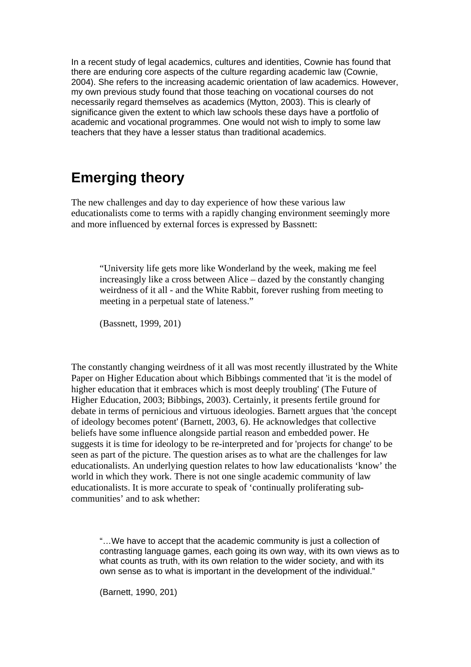In a recent study of legal academics, cultures and identities, Cownie has found that there are enduring core aspects of the culture regarding academic law (Cownie, 2004). She refers to the increasing academic orientation of law academics. However, my own previous study found that those teaching on vocational courses do not necessarily regard themselves as academics (Mytton, 2003). This is clearly of significance given the extent to which law schools these days have a portfolio of academic and vocational programmes. One would not wish to imply to some law teachers that they have a lesser status than traditional academics.

#### **Emerging theory**

The new challenges and day to day experience of how these various law educationalists come to terms with a rapidly changing environment seemingly more and more influenced by external forces is expressed by Bassnett:

"University life gets more like Wonderland by the week, making me feel increasingly like a cross between Alice – dazed by the constantly changing weirdness of it all - and the White Rabbit, forever rushing from meeting to meeting in a perpetual state of lateness."

(Bassnett, 1999, 201)

The constantly changing weirdness of it all was most recently illustrated by the White Paper on Higher Education about which Bibbings commented that 'it is the model of higher education that it embraces which is most deeply troubling' (The Future of Higher Education, 2003; Bibbings, 2003). Certainly, it presents fertile ground for debate in terms of pernicious and virtuous ideologies. Barnett argues that 'the concept of ideology becomes potent' (Barnett, 2003, 6). He acknowledges that collective beliefs have some influence alongside partial reason and embedded power. He suggests it is time for ideology to be re-interpreted and for 'projects for change' to be seen as part of the picture. The question arises as to what are the challenges for law educationalists. An underlying question relates to how law educationalists 'know' the world in which they work. There is not one single academic community of law educationalists. It is more accurate to speak of 'continually proliferating subcommunities' and to ask whether:

"…We have to accept that the academic community is just a collection of contrasting language games, each going its own way, with its own views as to what counts as truth, with its own relation to the wider society, and with its own sense as to what is important in the development of the individual."

(Barnett, 1990, 201)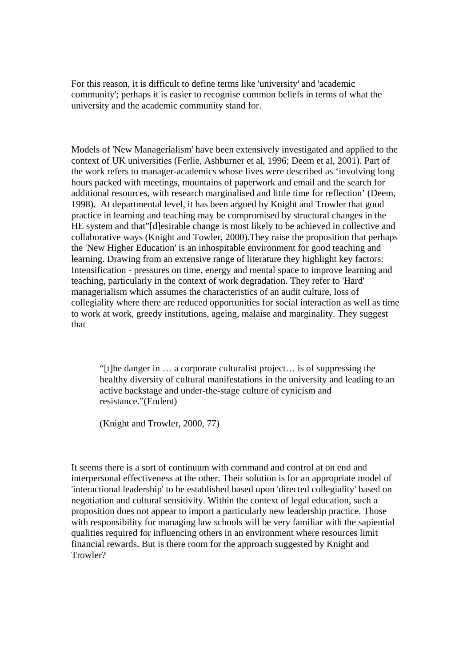For this reason, it is difficult to define terms like 'university' and 'academic community'; perhaps it is easier to recognise common beliefs in terms of what the university and the academic community stand for.

Models of 'New Managerialism' have been extensively investigated and applied to the context of UK universities (Ferlie, Ashburner et al, 1996; Deem et al, 2001). Part of the work refers to manager-academics whose lives were described as 'involving long hours packed with meetings, mountains of paperwork and email and the search for additional resources, with research marginalised and little time for reflection' (Deem, 1998). At departmental level, it has been argued by Knight and Trowler that good practice in learning and teaching may be compromised by structural changes in the HE system and that"[d]esirable change is most likely to be achieved in collective and collaborative ways (Knight and Towler, 2000).They raise the proposition that perhaps the 'New Higher Education' is an inhospitable environment for good teaching and learning. Drawing from an extensive range of literature they highlight key factors: Intensification - pressures on time, energy and mental space to improve learning and teaching, particularly in the context of work degradation. They refer to 'Hard' managerialism which assumes the characteristics of an audit culture, loss of collegiality where there are reduced opportunities for social interaction as well as time to work at work, greedy institutions, ageing, malaise and marginality. They suggest that

"[t]he danger in … a corporate culturalist project… is of suppressing the healthy diversity of cultural manifestations in the university and leading to an active backstage and under-the-stage culture of cynicism and resistance."(Endent)

(Knight and Trowler, 2000, 77)

It seems there is a sort of continuum with command and control at on end and interpersonal effectiveness at the other. Their solution is for an appropriate model of 'interactional leadership' to be established based upon 'directed collegiality' based on negotiation and cultural sensitivity. Within the context of legal education, such a proposition does not appear to import a particularly new leadership practice. Those with responsibility for managing law schools will be very familiar with the sapiential qualities required for influencing others in an environment where resources limit financial rewards. But is there room for the approach suggested by Knight and Trowler?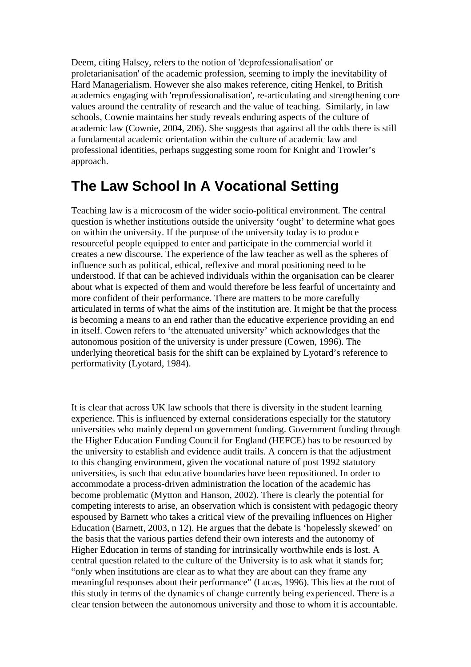Deem, citing Halsey, refers to the notion of 'deprofessionalisation' or proletarianisation' of the academic profession, seeming to imply the inevitability of Hard Managerialism. However she also makes reference, citing Henkel, to British academics engaging with 'reprofessionalisation', re-articulating and strengthening core values around the centrality of research and the value of teaching. Similarly, in law schools, Cownie maintains her study reveals enduring aspects of the culture of academic law (Cownie, 2004, 206). She suggests that against all the odds there is still a fundamental academic orientation within the culture of academic law and professional identities, perhaps suggesting some room for Knight and Trowler's approach.

### **The Law School In A Vocational Setting**

Teaching law is a microcosm of the wider socio-political environment. The central question is whether institutions outside the university 'ought' to determine what goes on within the university. If the purpose of the university today is to produce resourceful people equipped to enter and participate in the commercial world it creates a new discourse. The experience of the law teacher as well as the spheres of influence such as political, ethical, reflexive and moral positioning need to be understood. If that can be achieved individuals within the organisation can be clearer about what is expected of them and would therefore be less fearful of uncertainty and more confident of their performance. There are matters to be more carefully articulated in terms of what the aims of the institution are. It might be that the process is becoming a means to an end rather than the educative experience providing an end in itself. Cowen refers to 'the attenuated university' which acknowledges that the autonomous position of the university is under pressure (Cowen, 1996). The underlying theoretical basis for the shift can be explained by Lyotard's reference to performativity (Lyotard, 1984).

It is clear that across UK law schools that there is diversity in the student learning experience. This is influenced by external considerations especially for the statutory universities who mainly depend on government funding. Government funding through the Higher Education Funding Council for England (HEFCE) has to be resourced by the university to establish and evidence audit trails. A concern is that the adjustment to this changing environment, given the vocational nature of post 1992 statutory universities, is such that educative boundaries have been repositioned. In order to accommodate a process-driven administration the location of the academic has become problematic (Mytton and Hanson, 2002). There is clearly the potential for competing interests to arise, an observation which is consistent with pedagogic theory espoused by Barnett who takes a critical view of the prevailing influences on Higher Education (Barnett, 2003, n 12). He argues that the debate is 'hopelessly skewed' on the basis that the various parties defend their own interests and the autonomy of Higher Education in terms of standing for intrinsically worthwhile ends is lost. A central question related to the culture of the University is to ask what it stands for; "only when institutions are clear as to what they are about can they frame any meaningful responses about their performance" (Lucas, 1996). This lies at the root of this study in terms of the dynamics of change currently being experienced. There is a clear tension between the autonomous university and those to whom it is accountable.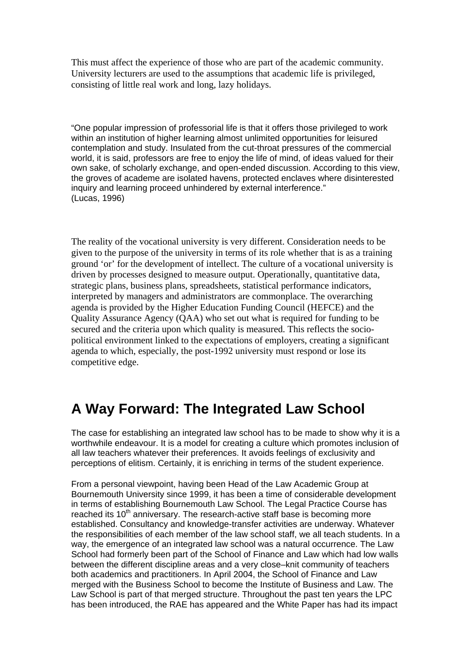This must affect the experience of those who are part of the academic community. University lecturers are used to the assumptions that academic life is privileged, consisting of little real work and long, lazy holidays.

"One popular impression of professorial life is that it offers those privileged to work within an institution of higher learning almost unlimited opportunities for leisured contemplation and study. Insulated from the cut-throat pressures of the commercial world, it is said, professors are free to enjoy the life of mind, of ideas valued for their own sake, of scholarly exchange, and open-ended discussion. According to this view, the groves of academe are isolated havens, protected enclaves where disinterested inquiry and learning proceed unhindered by external interference." (Lucas, 1996)

The reality of the vocational university is very different. Consideration needs to be given to the purpose of the university in terms of its role whether that is as a training ground 'or' for the development of intellect. The culture of a vocational university is driven by processes designed to measure output. Operationally, quantitative data, strategic plans, business plans, spreadsheets, statistical performance indicators, interpreted by managers and administrators are commonplace. The overarching agenda is provided by the Higher Education Funding Council (HEFCE) and the Quality Assurance Agency (QAA) who set out what is required for funding to be secured and the criteria upon which quality is measured. This reflects the sociopolitical environment linked to the expectations of employers, creating a significant agenda to which, especially, the post-1992 university must respond or lose its competitive edge.

#### **A Way Forward: The Integrated Law School**

The case for establishing an integrated law school has to be made to show why it is a worthwhile endeavour. It is a model for creating a culture which promotes inclusion of all law teachers whatever their preferences. It avoids feelings of exclusivity and perceptions of elitism. Certainly, it is enriching in terms of the student experience.

From a personal viewpoint, having been Head of the Law Academic Group at Bournemouth University since 1999, it has been a time of considerable development in terms of establishing Bournemouth Law School. The Legal Practice Course has reached its 10<sup>th</sup> anniversary. The research-active staff base is becoming more established. Consultancy and knowledge-transfer activities are underway. Whatever the responsibilities of each member of the law school staff, we all teach students. In a way, the emergence of an integrated law school was a natural occurrence. The Law School had formerly been part of the School of Finance and Law which had low walls between the different discipline areas and a very close–knit community of teachers both academics and practitioners. In April 2004, the School of Finance and Law merged with the Business School to become the Institute of Business and Law. The Law School is part of that merged structure. Throughout the past ten years the LPC has been introduced, the RAE has appeared and the White Paper has had its impact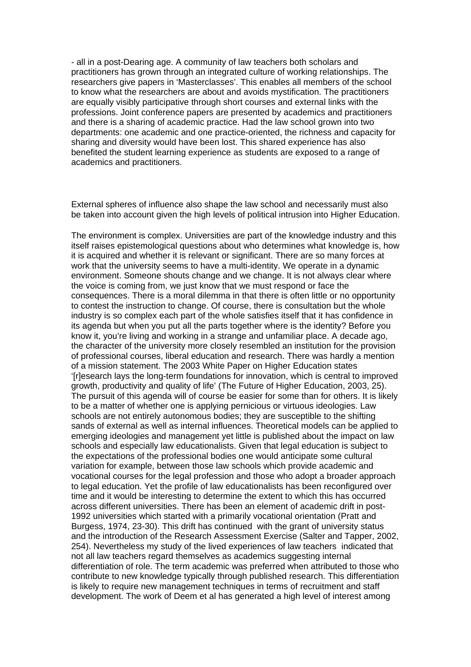- all in a post-Dearing age. A community of law teachers both scholars and practitioners has grown through an integrated culture of working relationships. The researchers give papers in 'Masterclasses'. This enables all members of the school to know what the researchers are about and avoids mystification. The practitioners are equally visibly participative through short courses and external links with the professions. Joint conference papers are presented by academics and practitioners and there is a sharing of academic practice. Had the law school grown into two departments: one academic and one practice-oriented, the richness and capacity for sharing and diversity would have been lost. This shared experience has also benefited the student learning experience as students are exposed to a range of academics and practitioners.

External spheres of influence also shape the law school and necessarily must also be taken into account given the high levels of political intrusion into Higher Education.

The environment is complex. Universities are part of the knowledge industry and this itself raises epistemological questions about who determines what knowledge is, how it is acquired and whether it is relevant or significant. There are so many forces at work that the university seems to have a multi-identity. We operate in a dynamic environment. Someone shouts change and we change. It is not always clear where the voice is coming from, we just know that we must respond or face the consequences. There is a moral dilemma in that there is often little or no opportunity to contest the instruction to change. Of course, there is consultation but the whole industry is so complex each part of the whole satisfies itself that it has confidence in its agenda but when you put all the parts together where is the identity? Before you know it, you're living and working in a strange and unfamiliar place. A decade ago, the character of the university more closely resembled an institution for the provision of professional courses, liberal education and research. There was hardly a mention of a mission statement. The 2003 White Paper on Higher Education states '[r]esearch lays the long-term foundations for innovation, which is central to improved growth, productivity and quality of life' (The Future of Higher Education, 2003, 25). The pursuit of this agenda will of course be easier for some than for others. It is likely to be a matter of whether one is applying pernicious or virtuous ideologies. Law schools are not entirely autonomous bodies; they are susceptible to the shifting sands of external as well as internal influences. Theoretical models can be applied to emerging ideologies and management yet little is published about the impact on law schools and especially law educationalists. Given that legal education is subject to the expectations of the professional bodies one would anticipate some cultural variation for example, between those law schools which provide academic and vocational courses for the legal profession and those who adopt a broader approach to legal education. Yet the profile of law educationalists has been reconfigured over time and it would be interesting to determine the extent to which this has occurred across different universities. There has been an element of academic drift in post-1992 universities which started with a primarily vocational orientation (Pratt and Burgess, 1974, 23-30). This drift has continued with the grant of university status and the introduction of the Research Assessment Exercise (Salter and Tapper, 2002, 254). Nevertheless my study of the lived experiences of law teachers indicated that not all law teachers regard themselves as academics suggesting internal differentiation of role. The term academic was preferred when attributed to those who contribute to new knowledge typically through published research. This differentiation is likely to require new management techniques in terms of recruitment and staff development. The work of Deem et al has generated a high level of interest among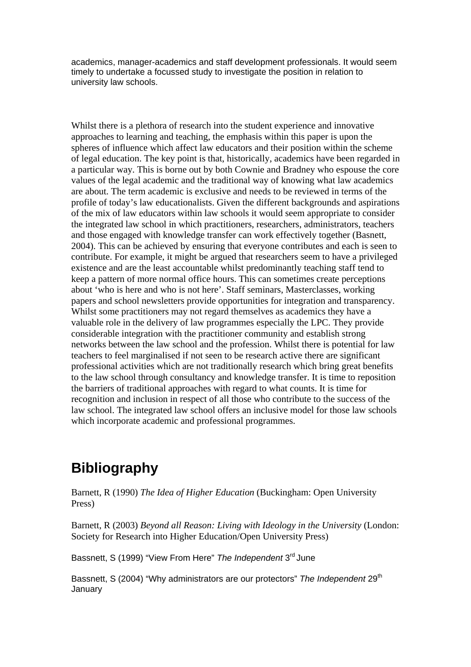academics, manager-academics and staff development professionals. It would seem timely to undertake a focussed study to investigate the position in relation to university law schools.

Whilst there is a plethora of research into the student experience and innovative approaches to learning and teaching, the emphasis within this paper is upon the spheres of influence which affect law educators and their position within the scheme of legal education. The key point is that, historically, academics have been regarded in a particular way. This is borne out by both Cownie and Bradney who espouse the core values of the legal academic and the traditional way of knowing what law academics are about. The term academic is exclusive and needs to be reviewed in terms of the profile of today's law educationalists. Given the different backgrounds and aspirations of the mix of law educators within law schools it would seem appropriate to consider the integrated law school in which practitioners, researchers, administrators, teachers and those engaged with knowledge transfer can work effectively together (Basnett, 2004). This can be achieved by ensuring that everyone contributes and each is seen to contribute. For example, it might be argued that researchers seem to have a privileged existence and are the least accountable whilst predominantly teaching staff tend to keep a pattern of more normal office hours. This can sometimes create perceptions about 'who is here and who is not here'. Staff seminars, Masterclasses, working papers and school newsletters provide opportunities for integration and transparency. Whilst some practitioners may not regard themselves as academics they have a valuable role in the delivery of law programmes especially the LPC. They provide considerable integration with the practitioner community and establish strong networks between the law school and the profession. Whilst there is potential for law teachers to feel marginalised if not seen to be research active there are significant professional activities which are not traditionally research which bring great benefits to the law school through consultancy and knowledge transfer. It is time to reposition the barriers of traditional approaches with regard to what counts. It is time for recognition and inclusion in respect of all those who contribute to the success of the law school. The integrated law school offers an inclusive model for those law schools which incorporate academic and professional programmes.

## **Bibliography**

Barnett, R (1990) *The Idea of Higher Education* (Buckingham: Open University Press)

Barnett, R (2003) *Beyond all Reason: Living with Ideology in the University* (London: Society for Research into Higher Education/Open University Press)

Bassnett, S (1999) "View From Here" *The Independent* 3rd June

Bassnett, S (2004) "Why administrators are our protectors" *The Independent* 29th **January**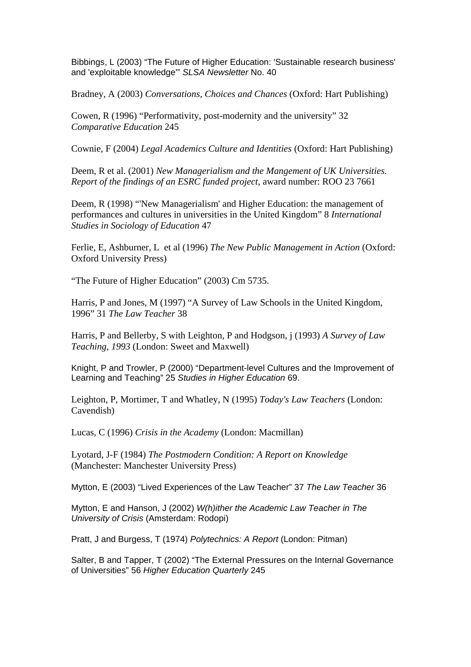Bibbings, L (2003) "The Future of Higher Education: 'Sustainable research business' and 'exploitable knowledge'" *SLSA Newsletter* No. 40

Bradney, A (2003) *Conversations, Choices and Chances* (Oxford: Hart Publishing)

Cowen, R (1996) "Performativity, post-modernity and the university" 32 *Comparative Education* 245

Cownie, F (2004) *Legal Academics Culture and Identities* (Oxford: Hart Publishing)

Deem, R et al. (2001) *New Managerialism and the Mangement of UK Universities. Report of the findings of an ESRC funded project*, award number: ROO 23 7661

Deem, R (1998) "'New Managerialism' and Higher Education: the management of performances and cultures in universities in the United Kingdom" 8 *International Studies in Sociology of Education* 47

Ferlie, E, Ashburner, L et al (1996) *The New Public Management in Action* (Oxford: Oxford University Press)

"The Future of Higher Education" (2003) Cm 5735.

Harris, P and Jones, M (1997) "A Survey of Law Schools in the United Kingdom, 1996" 31 *The Law Teacher* 38

Harris, P and Bellerby, S with Leighton, P and Hodgson, j (1993) *A Survey of Law Teaching, 1993* (London: Sweet and Maxwell)

Knight, P and Trowler, P (2000) "Department-level Cultures and the Improvement of Learning and Teaching" 25 *Studies in Higher Education* 69.

Leighton, P, Mortimer, T and Whatley, N (1995) *Today's Law Teachers* (London: Cavendish)

Lucas, C (1996) *Crisis in the Academy* (London: Macmillan)

Lyotard, J-F (1984) *The Postmodern Condition: A Report on Knowledge* (Manchester: Manchester University Press)

Mytton, E (2003) "Lived Experiences of the Law Teacher" 37 *The Law Teacher* 36

Mytton, E and Hanson, J (2002) *W(h)ither the Academic Law Teacher in The University of Crisis* (Amsterdam: Rodopi)

Pratt, J and Burgess, T (1974) *Polytechnics: A Report* (London: Pitman)

Salter, B and Tapper, T (2002) "The External Pressures on the Internal Governance of Universities" 56 *Higher Education Quarterly* 245